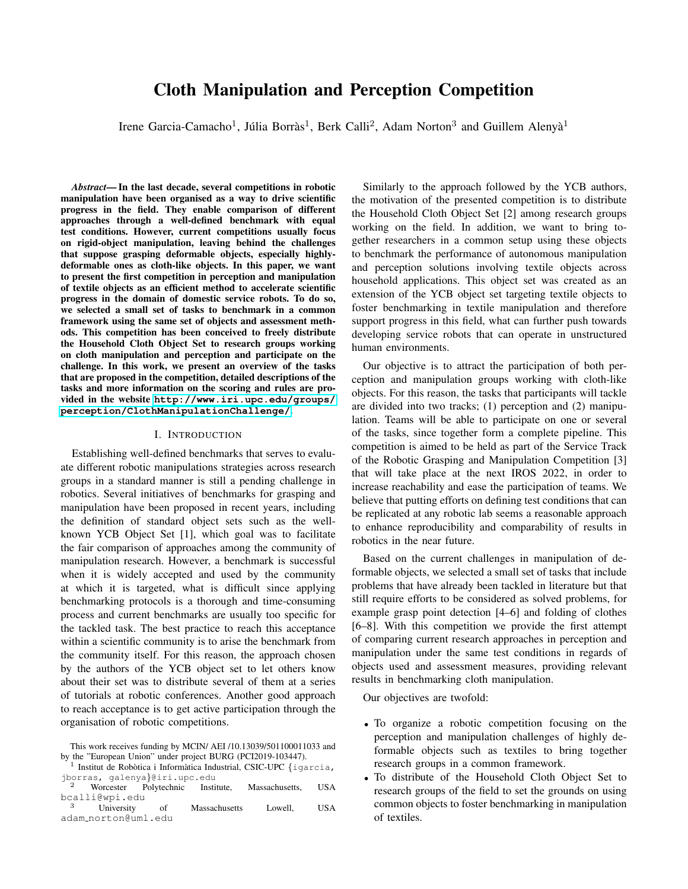# Cloth Manipulation and Perception Competition

Irene Garcia-Camacho<sup>1</sup>, Júlia Borràs<sup>1</sup>, Berk Calli<sup>2</sup>, Adam Norton<sup>3</sup> and Guillem Alenyà<sup>1</sup>

*Abstract*— In the last decade, several competitions in robotic manipulation have been organised as a way to drive scientific progress in the field. They enable comparison of different approaches through a well-defined benchmark with equal test conditions. However, current competitions usually focus on rigid-object manipulation, leaving behind the challenges that suppose grasping deformable objects, especially highlydeformable ones as cloth-like objects. In this paper, we want to present the first competition in perception and manipulation of textile objects as an efficient method to accelerate scientific progress in the domain of domestic service robots. To do so, we selected a small set of tasks to benchmark in a common framework using the same set of objects and assessment methods. This competition has been conceived to freely distribute the Household Cloth Object Set to research groups working on cloth manipulation and perception and participate on the challenge. In this work, we present an overview of the tasks that are proposed in the competition, detailed descriptions of the tasks and more information on the scoring and rules are provided in the website **[http://www.iri.upc.edu/groups/](http://www.iri.upc.edu/groups/perception/ClothManipulationChallenge/) [perception/ClothManipulationChallenge/](http://www.iri.upc.edu/groups/perception/ClothManipulationChallenge/)**.

#### I. INTRODUCTION

Establishing well-defined benchmarks that serves to evaluate different robotic manipulations strategies across research groups in a standard manner is still a pending challenge in robotics. Several initiatives of benchmarks for grasping and manipulation have been proposed in recent years, including the definition of standard object sets such as the wellknown YCB Object Set [1], which goal was to facilitate the fair comparison of approaches among the community of manipulation research. However, a benchmark is successful when it is widely accepted and used by the community at which it is targeted, what is difficult since applying benchmarking protocols is a thorough and time-consuming process and current benchmarks are usually too specific for the tackled task. The best practice to reach this acceptance within a scientific community is to arise the benchmark from the community itself. For this reason, the approach chosen by the authors of the YCB object set to let others know about their set was to distribute several of them at a series of tutorials at robotic conferences. Another good approach to reach acceptance is to get active participation through the organisation of robotic competitions.

 $1$  Institut de Robòtica i Informàtica Industrial, CSIC-UPC {igarcia, jborras, galenya}@iri.upc.edu

| 2 |                     | Worcester Polytechnic | Institute.    | Massachusetts. | <b>USA</b> |
|---|---------------------|-----------------------|---------------|----------------|------------|
|   | bcalli@wpi.edu      |                       |               |                |            |
| 3 | University          | 0f                    | Massachusetts | Lowell.        | <b>USA</b> |
|   | adam_norton@uml.edu |                       |               |                |            |

Similarly to the approach followed by the YCB authors, the motivation of the presented competition is to distribute the Household Cloth Object Set [2] among research groups working on the field. In addition, we want to bring together researchers in a common setup using these objects to benchmark the performance of autonomous manipulation and perception solutions involving textile objects across household applications. This object set was created as an extension of the YCB object set targeting textile objects to foster benchmarking in textile manipulation and therefore support progress in this field, what can further push towards developing service robots that can operate in unstructured human environments.

Our objective is to attract the participation of both perception and manipulation groups working with cloth-like objects. For this reason, the tasks that participants will tackle are divided into two tracks; (1) perception and (2) manipulation. Teams will be able to participate on one or several of the tasks, since together form a complete pipeline. This competition is aimed to be held as part of the Service Track of the Robotic Grasping and Manipulation Competition [3] that will take place at the next IROS 2022, in order to increase reachability and ease the participation of teams. We believe that putting efforts on defining test conditions that can be replicated at any robotic lab seems a reasonable approach to enhance reproducibility and comparability of results in robotics in the near future.

Based on the current challenges in manipulation of deformable objects, we selected a small set of tasks that include problems that have already been tackled in literature but that still require efforts to be considered as solved problems, for example grasp point detection [4–6] and folding of clothes [6–8]. With this competition we provide the first attempt of comparing current research approaches in perception and manipulation under the same test conditions in regards of objects used and assessment measures, providing relevant results in benchmarking cloth manipulation.

Our objectives are twofold:

- To organize a robotic competition focusing on the perception and manipulation challenges of highly deformable objects such as textiles to bring together research groups in a common framework.
- To distribute of the Household Cloth Object Set to research groups of the field to set the grounds on using common objects to foster benchmarking in manipulation of textiles.

This work receives funding by MCIN/ AEI /10.13039/501100011033 and by the "European Union" under project BURG (PCI2019-103447).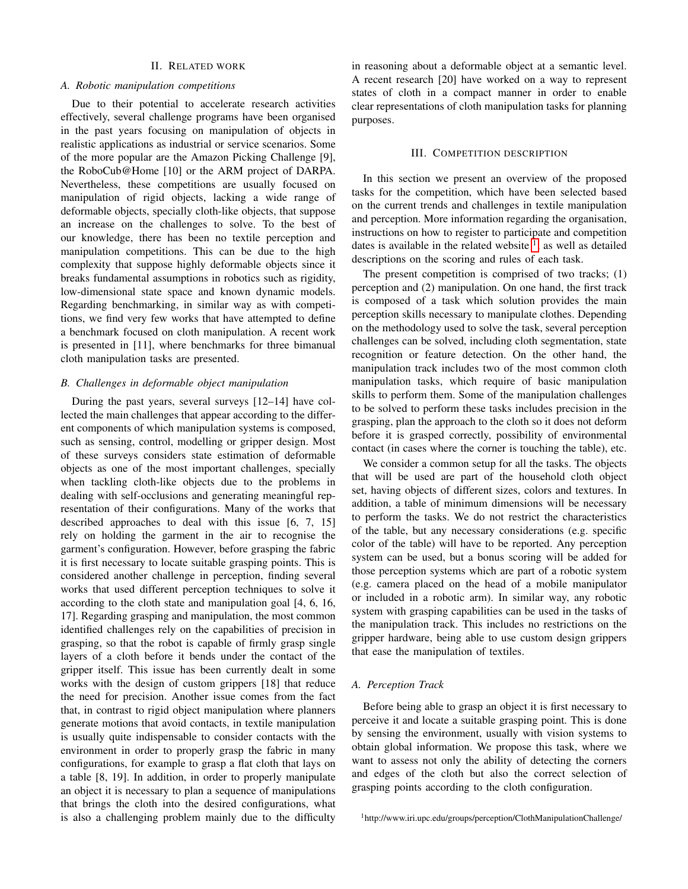# II. RELATED WORK

## *A. Robotic manipulation competitions*

Due to their potential to accelerate research activities effectively, several challenge programs have been organised in the past years focusing on manipulation of objects in realistic applications as industrial or service scenarios. Some of the more popular are the Amazon Picking Challenge [9], the RoboCub@Home [10] or the ARM project of DARPA. Nevertheless, these competitions are usually focused on manipulation of rigid objects, lacking a wide range of deformable objects, specially cloth-like objects, that suppose an increase on the challenges to solve. To the best of our knowledge, there has been no textile perception and manipulation competitions. This can be due to the high complexity that suppose highly deformable objects since it breaks fundamental assumptions in robotics such as rigidity, low-dimensional state space and known dynamic models. Regarding benchmarking, in similar way as with competitions, we find very few works that have attempted to define a benchmark focused on cloth manipulation. A recent work is presented in [11], where benchmarks for three bimanual cloth manipulation tasks are presented.

## *B. Challenges in deformable object manipulation*

During the past years, several surveys [12–14] have collected the main challenges that appear according to the different components of which manipulation systems is composed, such as sensing, control, modelling or gripper design. Most of these surveys considers state estimation of deformable objects as one of the most important challenges, specially when tackling cloth-like objects due to the problems in dealing with self-occlusions and generating meaningful representation of their configurations. Many of the works that described approaches to deal with this issue [6, 7, 15] rely on holding the garment in the air to recognise the garment's configuration. However, before grasping the fabric it is first necessary to locate suitable grasping points. This is considered another challenge in perception, finding several works that used different perception techniques to solve it according to the cloth state and manipulation goal [4, 6, 16, 17]. Regarding grasping and manipulation, the most common identified challenges rely on the capabilities of precision in grasping, so that the robot is capable of firmly grasp single layers of a cloth before it bends under the contact of the gripper itself. This issue has been currently dealt in some works with the design of custom grippers [18] that reduce the need for precision. Another issue comes from the fact that, in contrast to rigid object manipulation where planners generate motions that avoid contacts, in textile manipulation is usually quite indispensable to consider contacts with the environment in order to properly grasp the fabric in many configurations, for example to grasp a flat cloth that lays on a table [8, 19]. In addition, in order to properly manipulate an object it is necessary to plan a sequence of manipulations that brings the cloth into the desired configurations, what is also a challenging problem mainly due to the difficulty

in reasoning about a deformable object at a semantic level. A recent research [20] have worked on a way to represent states of cloth in a compact manner in order to enable clear representations of cloth manipulation tasks for planning purposes.

#### III. COMPETITION DESCRIPTION

In this section we present an overview of the proposed tasks for the competition, which have been selected based on the current trends and challenges in textile manipulation and perception. More information regarding the organisation, instructions on how to register to participate and competition dates is available in the related website  $\frac{1}{1}$  $\frac{1}{1}$  $\frac{1}{1}$ , as well as detailed descriptions on the scoring and rules of each task.

The present competition is comprised of two tracks; (1) perception and (2) manipulation. On one hand, the first track is composed of a task which solution provides the main perception skills necessary to manipulate clothes. Depending on the methodology used to solve the task, several perception challenges can be solved, including cloth segmentation, state recognition or feature detection. On the other hand, the manipulation track includes two of the most common cloth manipulation tasks, which require of basic manipulation skills to perform them. Some of the manipulation challenges to be solved to perform these tasks includes precision in the grasping, plan the approach to the cloth so it does not deform before it is grasped correctly, possibility of environmental contact (in cases where the corner is touching the table), etc.

We consider a common setup for all the tasks. The objects that will be used are part of the household cloth object set, having objects of different sizes, colors and textures. In addition, a table of minimum dimensions will be necessary to perform the tasks. We do not restrict the characteristics of the table, but any necessary considerations (e.g. specific color of the table) will have to be reported. Any perception system can be used, but a bonus scoring will be added for those perception systems which are part of a robotic system (e.g. camera placed on the head of a mobile manipulator or included in a robotic arm). In similar way, any robotic system with grasping capabilities can be used in the tasks of the manipulation track. This includes no restrictions on the gripper hardware, being able to use custom design grippers that ease the manipulation of textiles.

# *A. Perception Track*

Before being able to grasp an object it is first necessary to perceive it and locate a suitable grasping point. This is done by sensing the environment, usually with vision systems to obtain global information. We propose this task, where we want to assess not only the ability of detecting the corners and edges of the cloth but also the correct selection of grasping points according to the cloth configuration.

<span id="page-1-0"></span><sup>1</sup>http://www.iri.upc.edu/groups/perception/ClothManipulationChallenge/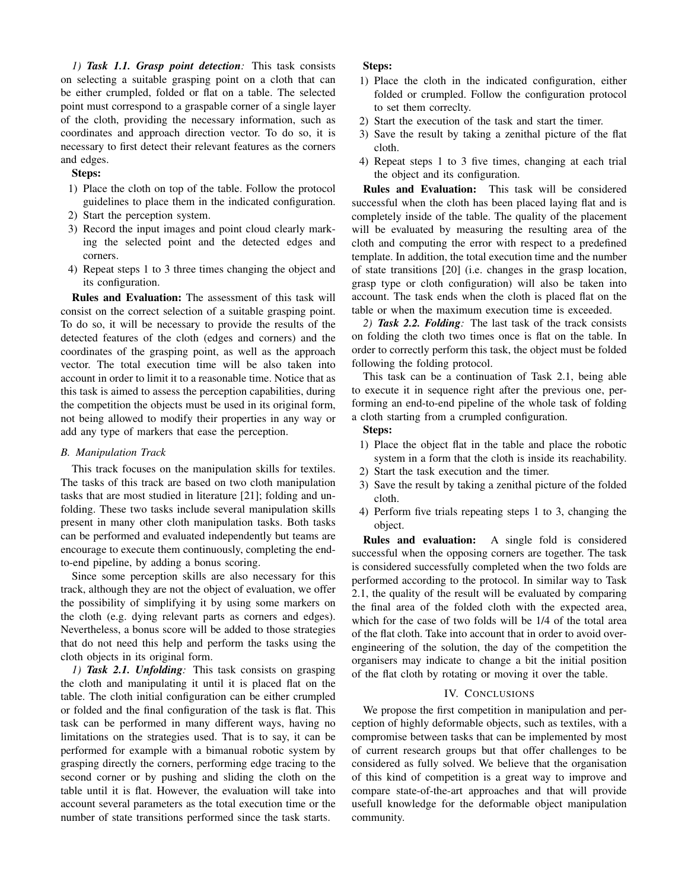*1) Task 1.1. Grasp point detection:* This task consists on selecting a suitable grasping point on a cloth that can be either crumpled, folded or flat on a table. The selected point must correspond to a graspable corner of a single layer of the cloth, providing the necessary information, such as coordinates and approach direction vector. To do so, it is necessary to first detect their relevant features as the corners and edges.

# Steps:

- 1) Place the cloth on top of the table. Follow the protocol guidelines to place them in the indicated configuration.
- 2) Start the perception system.
- 3) Record the input images and point cloud clearly marking the selected point and the detected edges and corners.
- 4) Repeat steps 1 to 3 three times changing the object and its configuration.

Rules and Evaluation: The assessment of this task will consist on the correct selection of a suitable grasping point. To do so, it will be necessary to provide the results of the detected features of the cloth (edges and corners) and the coordinates of the grasping point, as well as the approach vector. The total execution time will be also taken into account in order to limit it to a reasonable time. Notice that as this task is aimed to assess the perception capabilities, during the competition the objects must be used in its original form, not being allowed to modify their properties in any way or add any type of markers that ease the perception.

#### *B. Manipulation Track*

This track focuses on the manipulation skills for textiles. The tasks of this track are based on two cloth manipulation tasks that are most studied in literature [21]; folding and unfolding. These two tasks include several manipulation skills present in many other cloth manipulation tasks. Both tasks can be performed and evaluated independently but teams are encourage to execute them continuously, completing the endto-end pipeline, by adding a bonus scoring.

Since some perception skills are also necessary for this track, although they are not the object of evaluation, we offer the possibility of simplifying it by using some markers on the cloth (e.g. dying relevant parts as corners and edges). Nevertheless, a bonus score will be added to those strategies that do not need this help and perform the tasks using the cloth objects in its original form.

*1) Task 2.1. Unfolding:* This task consists on grasping the cloth and manipulating it until it is placed flat on the table. The cloth initial configuration can be either crumpled or folded and the final configuration of the task is flat. This task can be performed in many different ways, having no limitations on the strategies used. That is to say, it can be performed for example with a bimanual robotic system by grasping directly the corners, performing edge tracing to the second corner or by pushing and sliding the cloth on the table until it is flat. However, the evaluation will take into account several parameters as the total execution time or the number of state transitions performed since the task starts.

# Steps:

- 1) Place the cloth in the indicated configuration, either folded or crumpled. Follow the configuration protocol to set them correclty.
- 2) Start the execution of the task and start the timer.
- 3) Save the result by taking a zenithal picture of the flat cloth.
- 4) Repeat steps 1 to 3 five times, changing at each trial the object and its configuration.

Rules and Evaluation: This task will be considered successful when the cloth has been placed laying flat and is completely inside of the table. The quality of the placement will be evaluated by measuring the resulting area of the cloth and computing the error with respect to a predefined template. In addition, the total execution time and the number of state transitions [20] (i.e. changes in the grasp location, grasp type or cloth configuration) will also be taken into account. The task ends when the cloth is placed flat on the table or when the maximum execution time is exceeded.

*2) Task 2.2. Folding:* The last task of the track consists on folding the cloth two times once is flat on the table. In order to correctly perform this task, the object must be folded following the folding protocol.

This task can be a continuation of Task 2.1, being able to execute it in sequence right after the previous one, performing an end-to-end pipeline of the whole task of folding a cloth starting from a crumpled configuration.

## Steps:

- 1) Place the object flat in the table and place the robotic system in a form that the cloth is inside its reachability.
- 2) Start the task execution and the timer.
- 3) Save the result by taking a zenithal picture of the folded cloth.
- 4) Perform five trials repeating steps 1 to 3, changing the object.

Rules and evaluation: A single fold is considered successful when the opposing corners are together. The task is considered successfully completed when the two folds are performed according to the protocol. In similar way to Task 2.1, the quality of the result will be evaluated by comparing the final area of the folded cloth with the expected area, which for the case of two folds will be 1/4 of the total area of the flat cloth. Take into account that in order to avoid overengineering of the solution, the day of the competition the organisers may indicate to change a bit the initial position of the flat cloth by rotating or moving it over the table.

## IV. CONCLUSIONS

We propose the first competition in manipulation and perception of highly deformable objects, such as textiles, with a compromise between tasks that can be implemented by most of current research groups but that offer challenges to be considered as fully solved. We believe that the organisation of this kind of competition is a great way to improve and compare state-of-the-art approaches and that will provide usefull knowledge for the deformable object manipulation community.